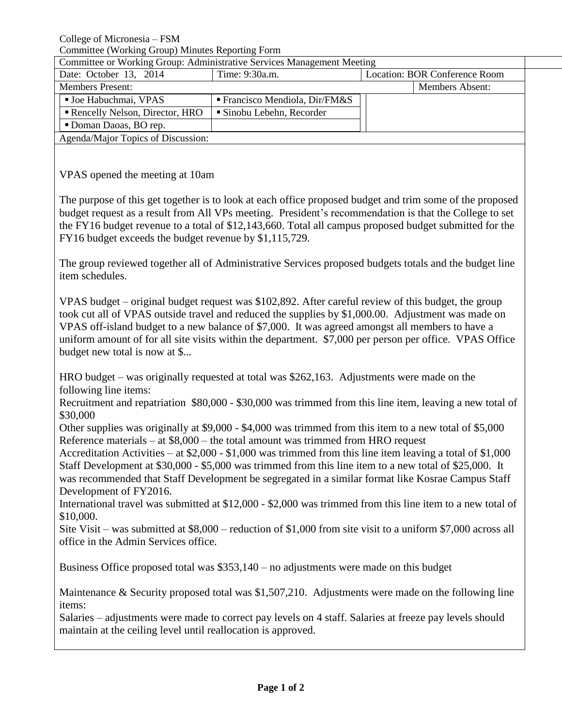| Committee or Working Group: Administrative Services Management Meeting |                                             |                               |                        |  |  |  |
|------------------------------------------------------------------------|---------------------------------------------|-------------------------------|------------------------|--|--|--|
| Date: October 13, 2014                                                 | Time: 9:30a.m.                              | Location: BOR Conference Room |                        |  |  |  |
| <b>Members Present:</b>                                                |                                             |                               | <b>Members Absent:</b> |  |  |  |
| <b>Joe Habuchmai, VPAS</b>                                             | $\blacksquare$ Francisco Mendiola, Dir/FM&S |                               |                        |  |  |  |
| Rencelly Nelson, Director, HRO                                         | ■ Sinobu Lebehn, Recorder                   |                               |                        |  |  |  |
| Doman Daoas, BO rep.                                                   |                                             |                               |                        |  |  |  |
| Agenda/Major Topics of Discussion:                                     |                                             |                               |                        |  |  |  |

VPAS opened the meeting at 10am

The purpose of this get together is to look at each office proposed budget and trim some of the proposed budget request as a result from All VPs meeting. President's recommendation is that the College to set the FY16 budget revenue to a total of \$12,143,660. Total all campus proposed budget submitted for the FY16 budget exceeds the budget revenue by \$1,115,729.

The group reviewed together all of Administrative Services proposed budgets totals and the budget line item schedules.

VPAS budget – original budget request was \$102,892. After careful review of this budget, the group took cut all of VPAS outside travel and reduced the supplies by \$1,000.00. Adjustment was made on VPAS off-island budget to a new balance of \$7,000. It was agreed amongst all members to have a uniform amount of for all site visits within the department. \$7,000 per person per office. VPAS Office budget new total is now at \$...

HRO budget – was originally requested at total was \$262,163. Adjustments were made on the following line items:

Recruitment and repatriation \$80,000 - \$30,000 was trimmed from this line item, leaving a new total of \$30,000

Other supplies was originally at \$9,000 - \$4,000 was trimmed from this item to a new total of \$5,000 Reference materials – at \$8,000 – the total amount was trimmed from HRO request

Accreditation Activities – at \$2,000 - \$1,000 was trimmed from this line item leaving a total of \$1,000 Staff Development at \$30,000 - \$5,000 was trimmed from this line item to a new total of \$25,000. It was recommended that Staff Development be segregated in a similar format like Kosrae Campus Staff Development of FY2016.

International travel was submitted at \$12,000 - \$2,000 was trimmed from this line item to a new total of \$10,000.

Site Visit – was submitted at \$8,000 – reduction of \$1,000 from site visit to a uniform \$7,000 across all office in the Admin Services office.

Business Office proposed total was \$353,140 – no adjustments were made on this budget

Maintenance & Security proposed total was \$1,507,210. Adjustments were made on the following line items:

Salaries – adjustments were made to correct pay levels on 4 staff. Salaries at freeze pay levels should maintain at the ceiling level until reallocation is approved.